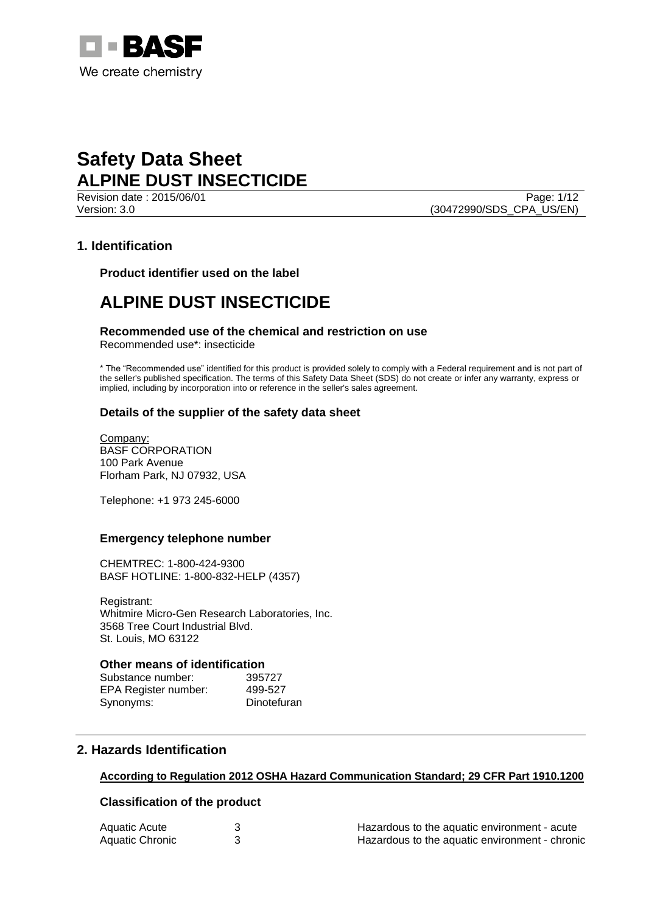

Page: 1/12 Version: 3.0 (30472990/SDS\_CPA\_US/EN)

# **1. Identification**

**Product identifier used on the label**

# **ALPINE DUST INSECTICIDE**

## **Recommended use of the chemical and restriction on use**

Recommended use\*: insecticide

\* The "Recommended use" identified for this product is provided solely to comply with a Federal requirement and is not part of the seller's published specification. The terms of this Safety Data Sheet (SDS) do not create or infer any warranty, express or implied, including by incorporation into or reference in the seller's sales agreement.

## **Details of the supplier of the safety data sheet**

Company: BASF CORPORATION 100 Park Avenue Florham Park, NJ 07932, USA

Telephone: +1 973 245-6000

### **Emergency telephone number**

CHEMTREC: 1-800-424-9300 BASF HOTLINE: 1-800-832-HELP (4357)

Registrant: Whitmire Micro-Gen Research Laboratories, Inc. 3568 Tree Court Industrial Blvd. St. Louis, MO 63122

### **Other means of identification**

| Substance number:    | 395727      |
|----------------------|-------------|
| EPA Register number: | 499-527     |
| Synonyms:            | Dinotefuran |

# **2. Hazards Identification**

## **According to Regulation 2012 OSHA Hazard Communication Standard; 29 CFR Part 1910.1200**

## **Classification of the product**

| Aquatic Acute   | Hazardous to the aquatic environment - acute   |
|-----------------|------------------------------------------------|
| Aquatic Chronic | Hazardous to the aquatic environment - chronic |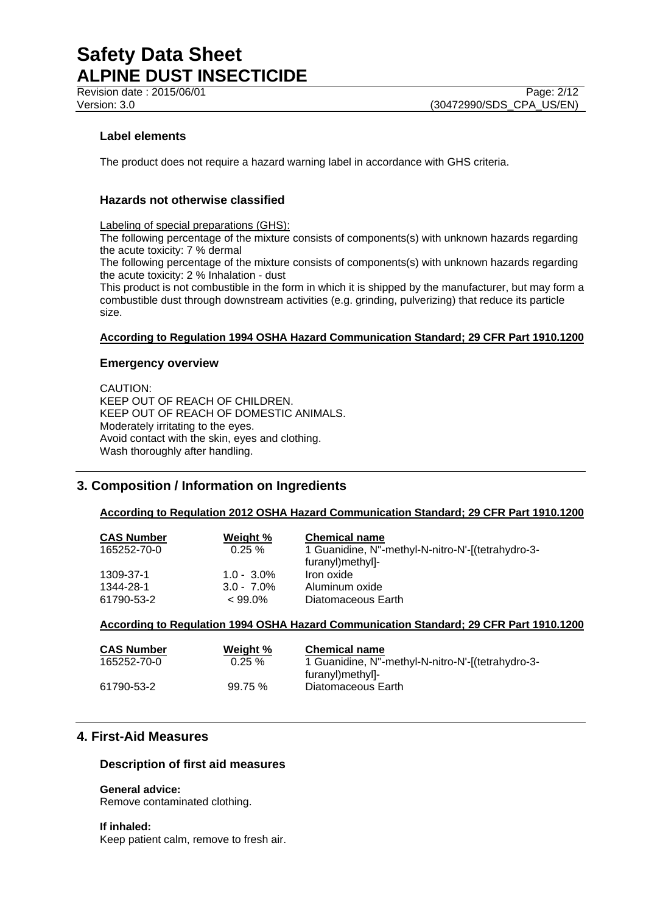## **Label elements**

The product does not require a hazard warning label in accordance with GHS criteria.

## **Hazards not otherwise classified**

Labeling of special preparations (GHS):

The following percentage of the mixture consists of components(s) with unknown hazards regarding the acute toxicity: 7 % dermal

The following percentage of the mixture consists of components(s) with unknown hazards regarding the acute toxicity: 2 % Inhalation - dust

This product is not combustible in the form in which it is shipped by the manufacturer, but may form a combustible dust through downstream activities (e.g. grinding, pulverizing) that reduce its particle size.

## **According to Regulation 1994 OSHA Hazard Communication Standard; 29 CFR Part 1910.1200**

## **Emergency overview**

CAUTION: KEEP OUT OF REACH OF CHILDREN. KEEP OUT OF REACH OF DOMESTIC ANIMALS. Moderately irritating to the eyes. Avoid contact with the skin, eyes and clothing. Wash thoroughly after handling.

# **3. Composition / Information on Ingredients**

**According to Regulation 2012 OSHA Hazard Communication Standard; 29 CFR Part 1910.1200**

| <b>CAS Number</b> | Weight %      | <b>Chemical name</b>                              |
|-------------------|---------------|---------------------------------------------------|
| 165252-70-0       | $0.25 \%$     | 1 Guanidine, N"-methyl-N-nitro-N'-[(tetrahydro-3- |
|                   |               | furanyl)methyl]-                                  |
| 1309-37-1         | $1.0 - 3.0\%$ | Iron oxide                                        |
| 1344-28-1         | $3.0 - 7.0\%$ | Aluminum oxide                                    |
| 61790-53-2        | $< 99.0\%$    | Diatomaceous Earth                                |

## **According to Regulation 1994 OSHA Hazard Communication Standard; 29 CFR Part 1910.1200**

| <b>CAS Number</b> | Weight %  | <b>Chemical name</b>                              |
|-------------------|-----------|---------------------------------------------------|
| 165252-70-0       | $0.25 \%$ | 1 Guanidine, N"-methyl-N-nitro-N'-[(tetrahydro-3- |
|                   |           | furanyl)methyl]-                                  |
| 61790-53-2        | 99.75%    | Diatomaceous Earth                                |

# **4. First-Aid Measures**

## **Description of first aid measures**

**General advice:**

Remove contaminated clothing.

**If inhaled:** Keep patient calm, remove to fresh air.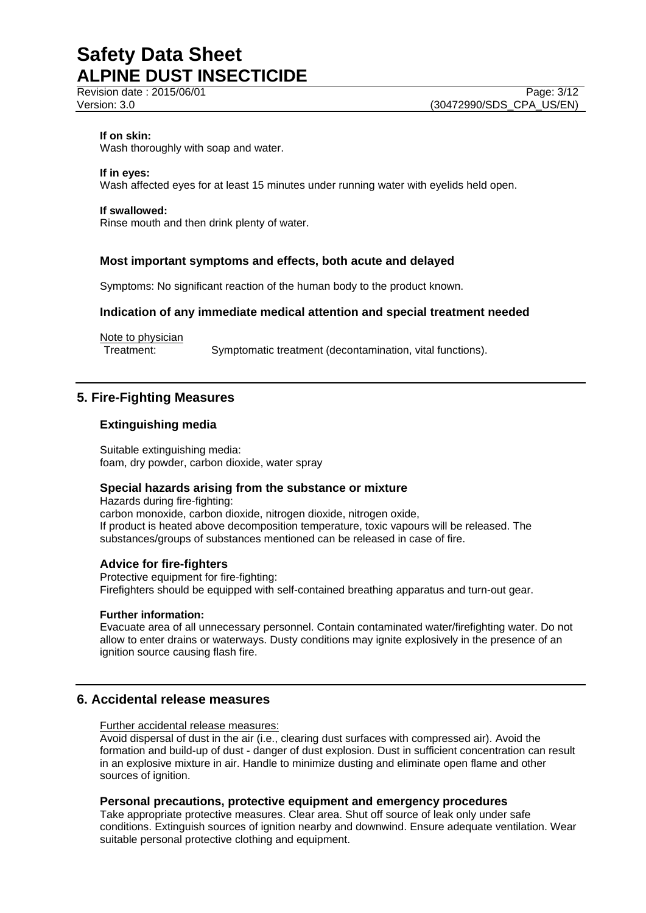#### **If on skin:**

Wash thoroughly with soap and water.

#### **If in eyes:**

Wash affected eyes for at least 15 minutes under running water with eyelids held open.

#### **If swallowed:**

Rinse mouth and then drink plenty of water.

## **Most important symptoms and effects, both acute and delayed**

Symptoms: No significant reaction of the human body to the product known.

## **Indication of any immediate medical attention and special treatment needed**

Note to physician

Treatment: Symptomatic treatment (decontamination, vital functions).

## **5. Fire-Fighting Measures**

## **Extinguishing media**

Suitable extinguishing media: foam, dry powder, carbon dioxide, water spray

### **Special hazards arising from the substance or mixture**

Hazards during fire-fighting: carbon monoxide, carbon dioxide, nitrogen dioxide, nitrogen oxide, If product is heated above decomposition temperature, toxic vapours will be released. The substances/groups of substances mentioned can be released in case of fire.

### **Advice for fire-fighters**

Protective equipment for fire-fighting: Firefighters should be equipped with self-contained breathing apparatus and turn-out gear.

#### **Further information:**

Evacuate area of all unnecessary personnel. Contain contaminated water/firefighting water. Do not allow to enter drains or waterways. Dusty conditions may ignite explosively in the presence of an ignition source causing flash fire.

### **6. Accidental release measures**

Further accidental release measures:

Avoid dispersal of dust in the air (i.e., clearing dust surfaces with compressed air). Avoid the formation and build-up of dust - danger of dust explosion. Dust in sufficient concentration can result in an explosive mixture in air. Handle to minimize dusting and eliminate open flame and other sources of ignition.

## **Personal precautions, protective equipment and emergency procedures**

Take appropriate protective measures. Clear area. Shut off source of leak only under safe conditions. Extinguish sources of ignition nearby and downwind. Ensure adequate ventilation. Wear suitable personal protective clothing and equipment.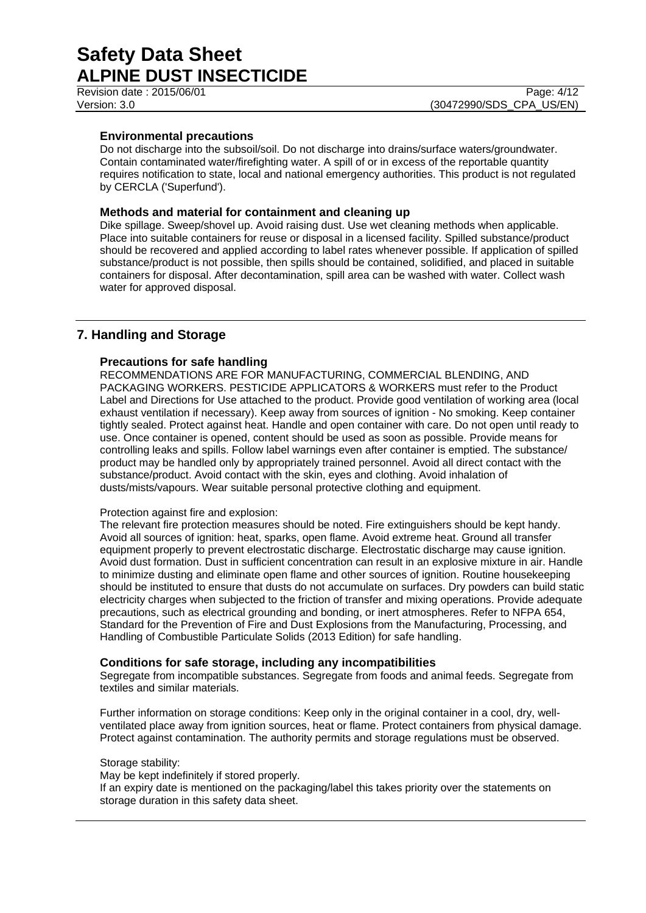Revision date : 2015/06/01

### **Environmental precautions**

Do not discharge into the subsoil/soil. Do not discharge into drains/surface waters/groundwater. Contain contaminated water/firefighting water. A spill of or in excess of the reportable quantity requires notification to state, local and national emergency authorities. This product is not regulated by CERCLA ('Superfund').

## **Methods and material for containment and cleaning up**

Dike spillage. Sweep/shovel up. Avoid raising dust. Use wet cleaning methods when applicable. Place into suitable containers for reuse or disposal in a licensed facility. Spilled substance/product should be recovered and applied according to label rates whenever possible. If application of spilled substance/product is not possible, then spills should be contained, solidified, and placed in suitable containers for disposal. After decontamination, spill area can be washed with water. Collect wash water for approved disposal.

## **7. Handling and Storage**

## **Precautions for safe handling**

RECOMMENDATIONS ARE FOR MANUFACTURING, COMMERCIAL BLENDING, AND PACKAGING WORKERS. PESTICIDE APPLICATORS & WORKERS must refer to the Product Label and Directions for Use attached to the product. Provide good ventilation of working area (local exhaust ventilation if necessary). Keep away from sources of ignition - No smoking. Keep container tightly sealed. Protect against heat. Handle and open container with care. Do not open until ready to use. Once container is opened, content should be used as soon as possible. Provide means for controlling leaks and spills. Follow label warnings even after container is emptied. The substance/ product may be handled only by appropriately trained personnel. Avoid all direct contact with the substance/product. Avoid contact with the skin, eyes and clothing. Avoid inhalation of dusts/mists/vapours. Wear suitable personal protective clothing and equipment.

### Protection against fire and explosion:

The relevant fire protection measures should be noted. Fire extinguishers should be kept handy. Avoid all sources of ignition: heat, sparks, open flame. Avoid extreme heat. Ground all transfer equipment properly to prevent electrostatic discharge. Electrostatic discharge may cause ignition. Avoid dust formation. Dust in sufficient concentration can result in an explosive mixture in air. Handle to minimize dusting and eliminate open flame and other sources of ignition. Routine housekeeping should be instituted to ensure that dusts do not accumulate on surfaces. Dry powders can build static electricity charges when subjected to the friction of transfer and mixing operations. Provide adequate precautions, such as electrical grounding and bonding, or inert atmospheres. Refer to NFPA 654, Standard for the Prevention of Fire and Dust Explosions from the Manufacturing, Processing, and Handling of Combustible Particulate Solids (2013 Edition) for safe handling.

### **Conditions for safe storage, including any incompatibilities**

Segregate from incompatible substances. Segregate from foods and animal feeds. Segregate from textiles and similar materials.

Further information on storage conditions: Keep only in the original container in a cool, dry, wellventilated place away from ignition sources, heat or flame. Protect containers from physical damage. Protect against contamination. The authority permits and storage regulations must be observed.

Storage stability: May be kept indefinitely if stored properly. If an expiry date is mentioned on the packaging/label this takes priority over the statements on storage duration in this safety data sheet.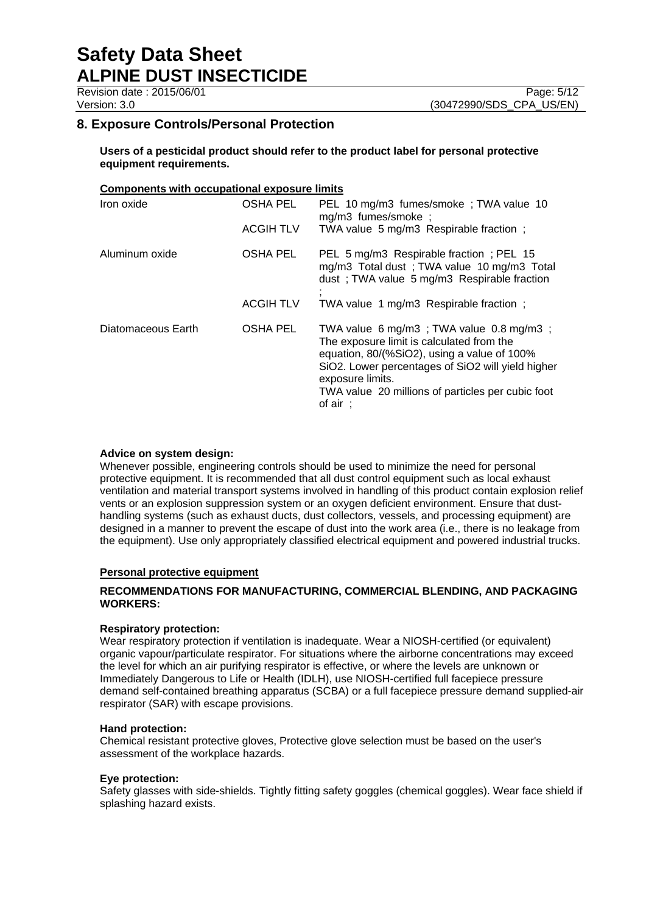**Users of a pesticidal product should refer to the product label for personal protective equipment requirements.**

### **Components with occupational exposure limits**

| Iron oxide         | OSHA PEL         | PEL 10 mg/m3 fumes/smoke; TWA value 10<br>mg/m3 fumes/smoke;                                                                                                                                                                                                                             |
|--------------------|------------------|------------------------------------------------------------------------------------------------------------------------------------------------------------------------------------------------------------------------------------------------------------------------------------------|
|                    | <b>ACGIH TLV</b> | TWA value 5 mg/m3 Respirable fraction;                                                                                                                                                                                                                                                   |
| Aluminum oxide     | OSHA PEL         | PEL 5 mg/m3 Respirable fraction; PEL 15<br>mg/m3 Total dust; TWA value 10 mg/m3 Total<br>dust; TWA value 5 mg/m3 Respirable fraction                                                                                                                                                     |
|                    | <b>ACGIH TLV</b> | TWA value 1 mg/m3 Respirable fraction;                                                                                                                                                                                                                                                   |
| Diatomaceous Earth | <b>OSHA PEL</b>  | TWA value 6 mg/m3; TWA value 0.8 mg/m3;<br>The exposure limit is calculated from the<br>equation, 80/(%SiO2), using a value of 100%<br>SiO2. Lower percentages of SiO2 will yield higher<br>exposure limits.<br>TWA value 20 millions of particles per cubic foot<br>of air $\therefore$ |

### **Advice on system design:**

Whenever possible, engineering controls should be used to minimize the need for personal protective equipment. It is recommended that all dust control equipment such as local exhaust ventilation and material transport systems involved in handling of this product contain explosion relief vents or an explosion suppression system or an oxygen deficient environment. Ensure that dusthandling systems (such as exhaust ducts, dust collectors, vessels, and processing equipment) are designed in a manner to prevent the escape of dust into the work area (i.e., there is no leakage from the equipment). Use only appropriately classified electrical equipment and powered industrial trucks.

### **Personal protective equipment**

## **RECOMMENDATIONS FOR MANUFACTURING, COMMERCIAL BLENDING, AND PACKAGING WORKERS:**

### **Respiratory protection:**

Wear respiratory protection if ventilation is inadequate. Wear a NIOSH-certified (or equivalent) organic vapour/particulate respirator. For situations where the airborne concentrations may exceed the level for which an air purifying respirator is effective, or where the levels are unknown or Immediately Dangerous to Life or Health (IDLH), use NIOSH-certified full facepiece pressure demand self-contained breathing apparatus (SCBA) or a full facepiece pressure demand supplied-air respirator (SAR) with escape provisions.

### **Hand protection:**

Chemical resistant protective gloves, Protective glove selection must be based on the user's assessment of the workplace hazards.

### **Eye protection:**

Safety glasses with side-shields. Tightly fitting safety goggles (chemical goggles). Wear face shield if splashing hazard exists.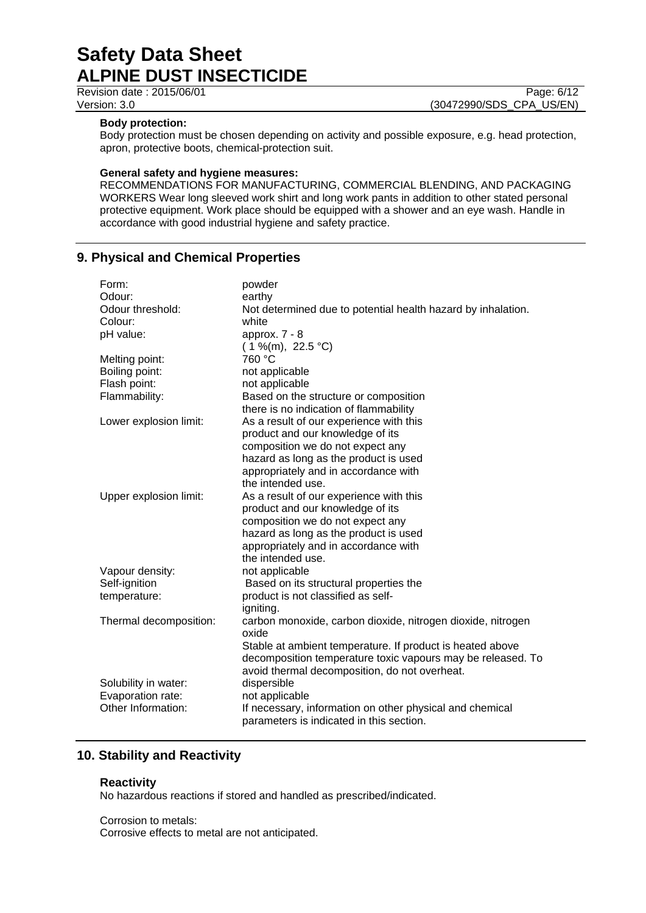Revision date : 2015/06/01 Page: 6/12

Version: 3.0 (30472990/SDS\_CPA\_US/EN)

### **Body protection:**

Body protection must be chosen depending on activity and possible exposure, e.g. head protection, apron, protective boots, chemical-protection suit.

### **General safety and hygiene measures:**

RECOMMENDATIONS FOR MANUFACTURING, COMMERCIAL BLENDING, AND PACKAGING WORKERS Wear long sleeved work shirt and long work pants in addition to other stated personal protective equipment. Work place should be equipped with a shower and an eye wash. Handle in accordance with good industrial hygiene and safety practice.

# **9. Physical and Chemical Properties**

| Form:                  | powder                                                       |
|------------------------|--------------------------------------------------------------|
| Odour:                 | earthy                                                       |
| Odour threshold:       | Not determined due to potential health hazard by inhalation. |
| Colour:                | white                                                        |
| pH value:              | approx. $7 - 8$                                              |
|                        | $(1\%$ (m), 22.5 °C)                                         |
| Melting point:         | 760 °C                                                       |
| Boiling point:         | not applicable                                               |
| Flash point:           | not applicable                                               |
| Flammability:          | Based on the structure or composition                        |
|                        | there is no indication of flammability                       |
| Lower explosion limit: | As a result of our experience with this                      |
|                        | product and our knowledge of its                             |
|                        | composition we do not expect any                             |
|                        | hazard as long as the product is used                        |
|                        | appropriately and in accordance with                         |
|                        | the intended use.                                            |
| Upper explosion limit: | As a result of our experience with this                      |
|                        | product and our knowledge of its                             |
|                        | composition we do not expect any                             |
|                        | hazard as long as the product is used                        |
|                        | appropriately and in accordance with                         |
|                        | the intended use.                                            |
| Vapour density:        | not applicable                                               |
| Self-ignition          | Based on its structural properties the                       |
| temperature:           | product is not classified as self-                           |
|                        | igniting.                                                    |
| Thermal decomposition: | carbon monoxide, carbon dioxide, nitrogen dioxide, nitrogen  |
|                        | oxide                                                        |
|                        | Stable at ambient temperature. If product is heated above    |
|                        | decomposition temperature toxic vapours may be released. To  |
|                        | avoid thermal decomposition, do not overheat.                |
| Solubility in water:   | dispersible                                                  |
| Evaporation rate:      | not applicable                                               |
| Other Information:     | If necessary, information on other physical and chemical     |
|                        | parameters is indicated in this section.                     |

# **10. Stability and Reactivity**

## **Reactivity**

No hazardous reactions if stored and handled as prescribed/indicated.

Corrosion to metals: Corrosive effects to metal are not anticipated.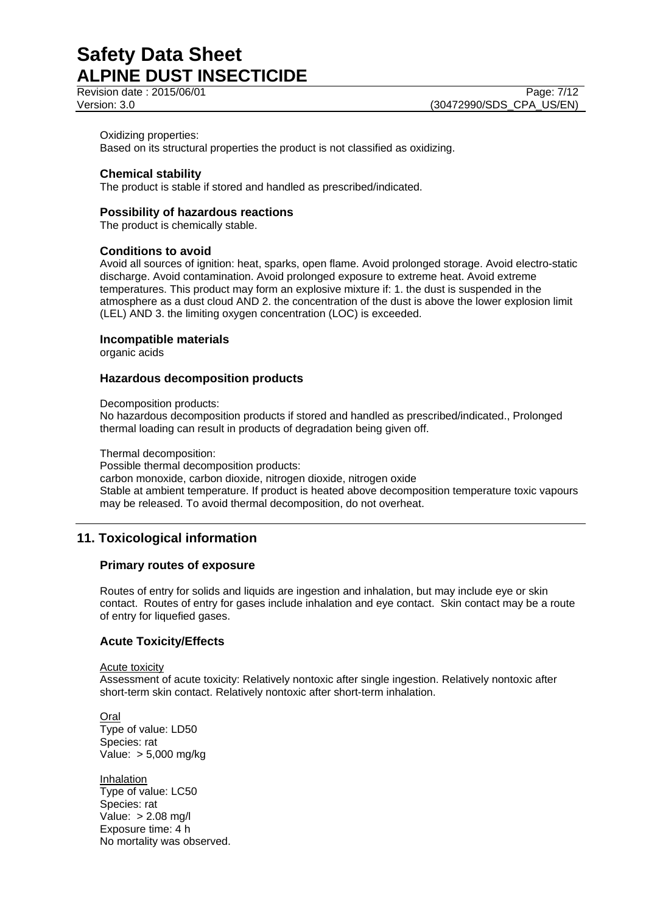Revision date : 2015/06/01 Page: 7/12

Version: 3.0 **(30472990/SDS\_CPA\_US/EN)** 

#### Oxidizing properties:

Based on its structural properties the product is not classified as oxidizing.

### **Chemical stability**

The product is stable if stored and handled as prescribed/indicated.

#### **Possibility of hazardous reactions**

The product is chemically stable.

#### **Conditions to avoid**

Avoid all sources of ignition: heat, sparks, open flame. Avoid prolonged storage. Avoid electro-static discharge. Avoid contamination. Avoid prolonged exposure to extreme heat. Avoid extreme temperatures. This product may form an explosive mixture if: 1. the dust is suspended in the atmosphere as a dust cloud AND 2. the concentration of the dust is above the lower explosion limit (LEL) AND 3. the limiting oxygen concentration (LOC) is exceeded.

#### **Incompatible materials**

organic acids

#### **Hazardous decomposition products**

Decomposition products:

No hazardous decomposition products if stored and handled as prescribed/indicated., Prolonged thermal loading can result in products of degradation being given off.

Thermal decomposition:

Possible thermal decomposition products:

carbon monoxide, carbon dioxide, nitrogen dioxide, nitrogen oxide Stable at ambient temperature. If product is heated above decomposition temperature toxic vapours may be released. To avoid thermal decomposition, do not overheat.

## **11. Toxicological information**

#### **Primary routes of exposure**

Routes of entry for solids and liquids are ingestion and inhalation, but may include eye or skin contact. Routes of entry for gases include inhalation and eye contact. Skin contact may be a route of entry for liquefied gases.

### **Acute Toxicity/Effects**

Acute toxicity

Assessment of acute toxicity: Relatively nontoxic after single ingestion. Relatively nontoxic after short-term skin contact. Relatively nontoxic after short-term inhalation.

**Oral** Type of value: LD50 Species: rat Value: > 5,000 mg/kg

Inhalation Type of value: LC50 Species: rat Value: > 2.08 mg/l Exposure time: 4 h No mortality was observed.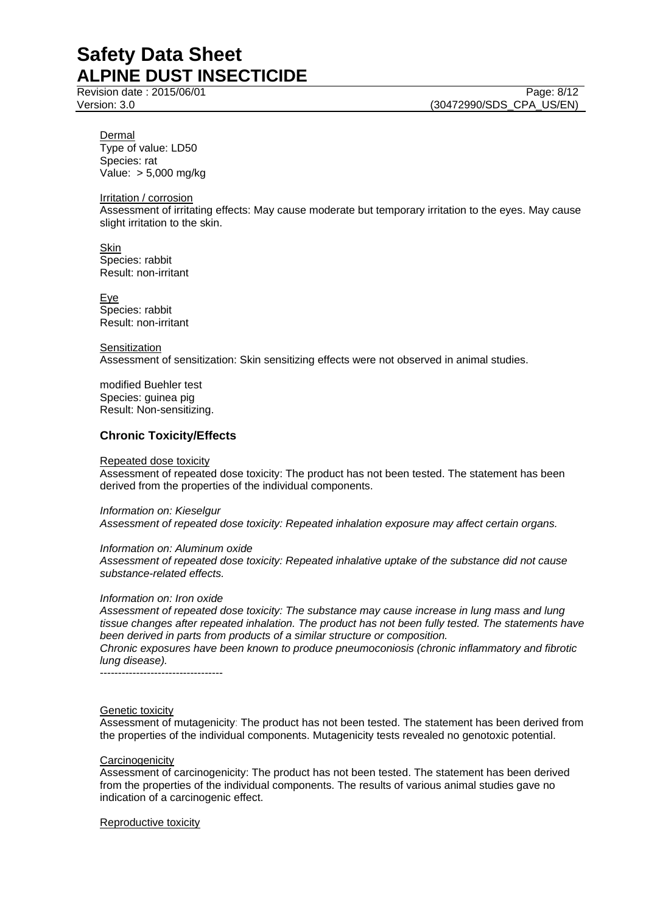Revision date : 2015/06/01 Page: 8/12 Version: 3.0 **(30472990/SDS\_CPA\_US/EN)** 

Dermal Type of value: LD50 Species: rat Value: > 5,000 mg/kg

Irritation / corrosion

Assessment of irritating effects: May cause moderate but temporary irritation to the eyes. May cause slight irritation to the skin.

Skin Species: rabbit Result: non-irritant

Eye Species: rabbit Result: non-irritant

Sensitization Assessment of sensitization: Skin sensitizing effects were not observed in animal studies.

modified Buehler test Species: guinea pig Result: Non-sensitizing.

## **Chronic Toxicity/Effects**

#### Repeated dose toxicity

Assessment of repeated dose toxicity: The product has not been tested. The statement has been derived from the properties of the individual components.

*Information on: Kieselgur*

*Assessment of repeated dose toxicity: Repeated inhalation exposure may affect certain organs.*

*Information on: Aluminum oxide*

*Assessment of repeated dose toxicity: Repeated inhalative uptake of the substance did not cause substance-related effects.*

### *Information on: Iron oxide*

*Assessment of repeated dose toxicity: The substance may cause increase in lung mass and lung tissue changes after repeated inhalation. The product has not been fully tested. The statements have been derived in parts from products of a similar structure or composition.*

*Chronic exposures have been known to produce pneumoconiosis (chronic inflammatory and fibrotic lung disease).*

----------------------------------

### Genetic toxicity

Assessment of mutagenicity: The product has not been tested. The statement has been derived from the properties of the individual components. Mutagenicity tests revealed no genotoxic potential.

#### **Carcinogenicity**

Assessment of carcinogenicity: The product has not been tested. The statement has been derived from the properties of the individual components. The results of various animal studies gave no indication of a carcinogenic effect.

Reproductive toxicity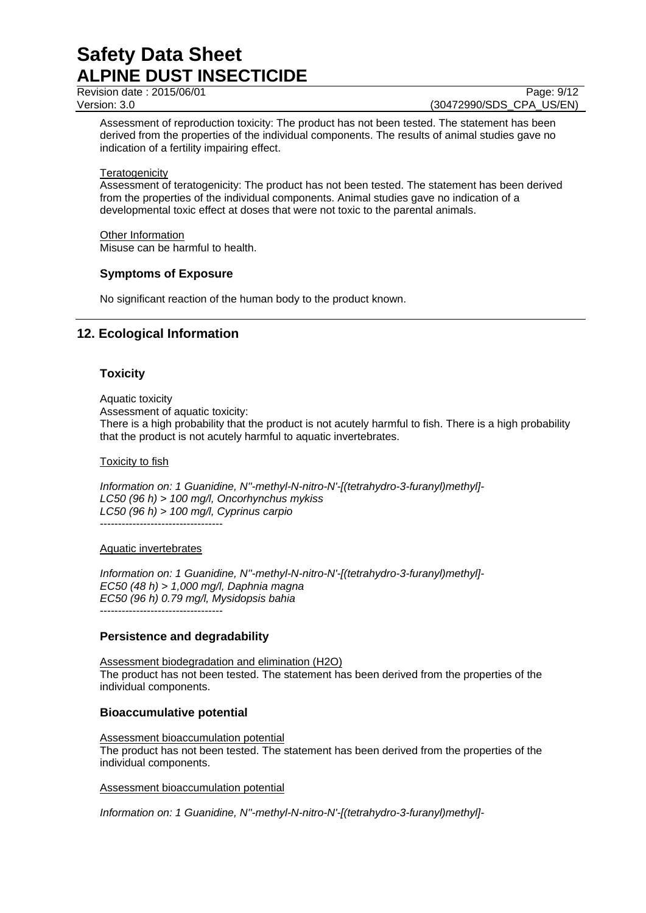Revision date : 2015/06/01 Page: 9/12

Version: 3.0 **(30472990/SDS\_CPA\_US/EN)** 

Assessment of reproduction toxicity: The product has not been tested. The statement has been derived from the properties of the individual components. The results of animal studies gave no indication of a fertility impairing effect.

## **Teratogenicity**

Assessment of teratogenicity: The product has not been tested. The statement has been derived from the properties of the individual components. Animal studies gave no indication of a developmental toxic effect at doses that were not toxic to the parental animals.

## Other Information

Misuse can be harmful to health.

## **Symptoms of Exposure**

No significant reaction of the human body to the product known.

# **12. Ecological Information**

## **Toxicity**

Aquatic toxicity

Assessment of aquatic toxicity:

There is a high probability that the product is not acutely harmful to fish. There is a high probability that the product is not acutely harmful to aquatic invertebrates.

### Toxicity to fish

*Information on: 1 Guanidine, N''-methyl-N-nitro-N'-[(tetrahydro-3-furanyl)methyl]- LC50 (96 h) > 100 mg/l, Oncorhynchus mykiss LC50 (96 h) > 100 mg/l, Cyprinus carpio*

----------------------------------

### Aquatic invertebrates

*Information on: 1 Guanidine, N''-methyl-N-nitro-N'-[(tetrahydro-3-furanyl)methyl]- EC50 (48 h) > 1,000 mg/l, Daphnia magna EC50 (96 h) 0.79 mg/l, Mysidopsis bahia* ----------------------------------

## **Persistence and degradability**

Assessment biodegradation and elimination (H2O) The product has not been tested. The statement has been derived from the properties of the individual components.

## **Bioaccumulative potential**

Assessment bioaccumulation potential The product has not been tested. The statement has been derived from the properties of the individual components.

## Assessment bioaccumulation potential

*Information on: 1 Guanidine, N''-methyl-N-nitro-N'-[(tetrahydro-3-furanyl)methyl]-*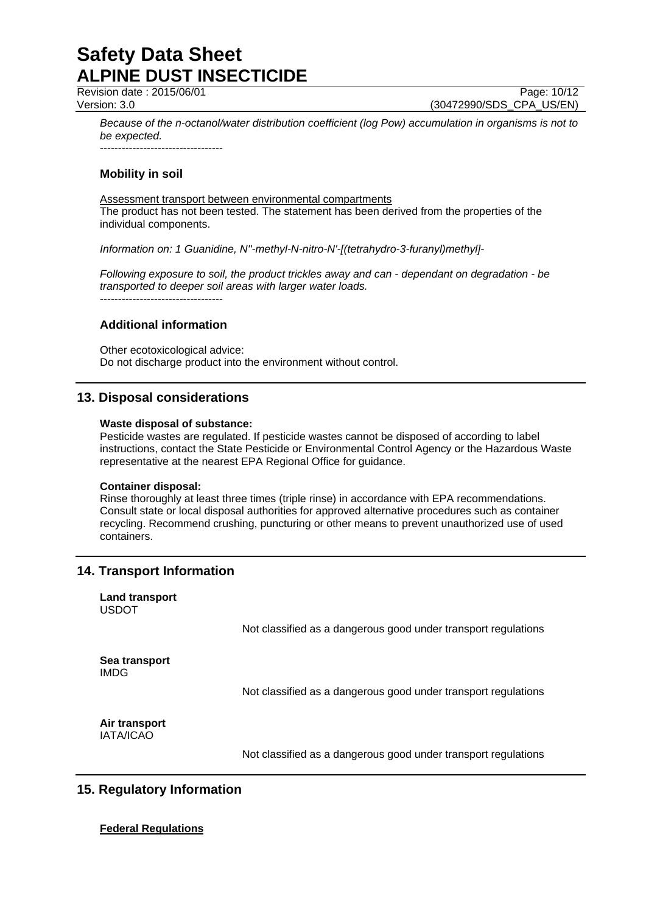Revision date : 2015/06/01 Page: 10/12

Version: 3.0 (30472990/SDS\_CPA\_US/EN)

*Because of the n-octanol/water distribution coefficient (log Pow) accumulation in organisms is not to be expected.*

----------------------------------

# **Mobility in soil**

Assessment transport between environmental compartments The product has not been tested. The statement has been derived from the properties of the individual components.

*Information on: 1 Guanidine, N''-methyl-N-nitro-N'-[(tetrahydro-3-furanyl)methyl]-*

*Following exposure to soil, the product trickles away and can - dependant on degradation - be transported to deeper soil areas with larger water loads.*

----------------------------------

## **Additional information**

Other ecotoxicological advice: Do not discharge product into the environment without control.

# **13. Disposal considerations**

### **Waste disposal of substance:**

Pesticide wastes are regulated. If pesticide wastes cannot be disposed of according to label instructions, contact the State Pesticide or Environmental Control Agency or the Hazardous Waste representative at the nearest EPA Regional Office for guidance.

### **Container disposal:**

Rinse thoroughly at least three times (triple rinse) in accordance with EPA recommendations. Consult state or local disposal authorities for approved alternative procedures such as container recycling. Recommend crushing, puncturing or other means to prevent unauthorized use of used containers.

# **14. Transport Information**

| <b>Land transport</b><br><b>USDOT</b> |                                                                |
|---------------------------------------|----------------------------------------------------------------|
|                                       | Not classified as a dangerous good under transport regulations |
| Sea transport<br><b>IMDG</b>          |                                                                |
|                                       | Not classified as a dangerous good under transport regulations |
| Air transport<br>IATA/ICAO            |                                                                |
|                                       | Not classified as a dangerous good under transport regulations |

# **15. Regulatory Information**

## **Federal Regulations**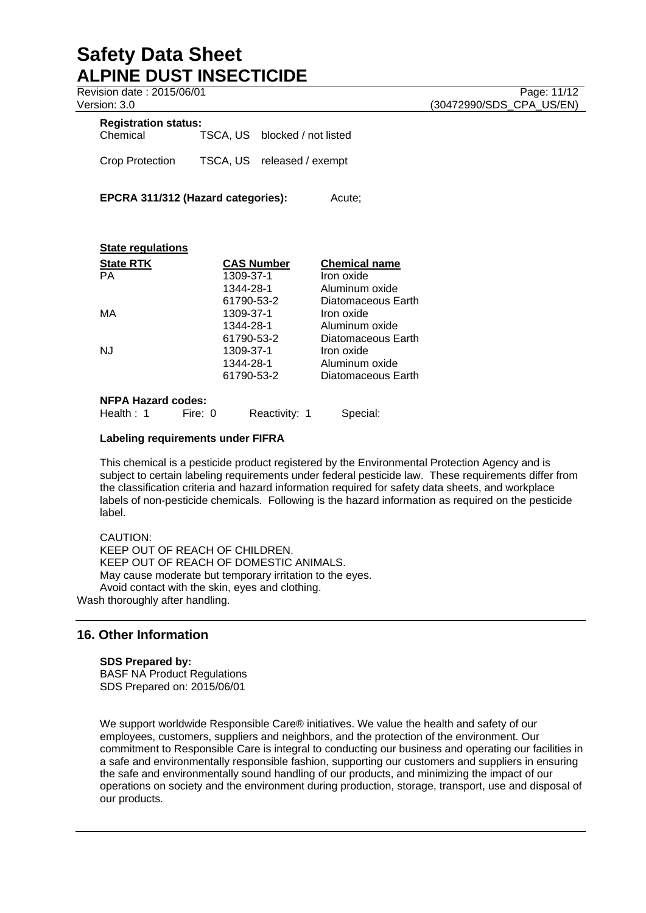Revision date : 2015/06/01 Page: 11/12

# **Registration status:**

| Chemical | TSCA, US blocked / not listed |
|----------|-------------------------------|
|          |                               |

Crop Protection TSCA, US released / exempt

**EPCRA 311/312 (Hazard categories):** Acute:

| <b>State regulations</b>  |                   |                      |
|---------------------------|-------------------|----------------------|
| <b>State RTK</b>          | <b>CAS Number</b> | <b>Chemical name</b> |
| <b>PA</b>                 | 1309-37-1         | Iron oxide           |
|                           | 1344-28-1         | Aluminum oxide       |
|                           | 61790-53-2        | Diatomaceous Earth   |
| МA                        | 1309-37-1         | Iron oxide           |
|                           | 1344-28-1         | Aluminum oxide       |
|                           | 61790-53-2        | Diatomaceous Earth   |
| N.J                       | 1309-37-1         | Iron oxide           |
|                           | 1344-28-1         | Aluminum oxide       |
|                           | 61790-53-2        | Diatomaceous Earth   |
| <b>NFPA Hazard codes:</b> |                   |                      |

# Health : 1 Fire: 0 Reactivity: 1 Special:

## **Labeling requirements under FIFRA**

This chemical is a pesticide product registered by the Environmental Protection Agency and is subject to certain labeling requirements under federal pesticide law. These requirements differ from the classification criteria and hazard information required for safety data sheets, and workplace labels of non-pesticide chemicals. Following is the hazard information as required on the pesticide label.

CAUTION: KEEP OUT OF REACH OF CHILDREN. KEEP OUT OF REACH OF DOMESTIC ANIMALS. May cause moderate but temporary irritation to the eyes. Avoid contact with the skin, eyes and clothing. Wash thoroughly after handling.

# **16. Other Information**

### **SDS Prepared by:**

BASF NA Product Regulations SDS Prepared on: 2015/06/01

We support worldwide Responsible Care® initiatives. We value the health and safety of our employees, customers, suppliers and neighbors, and the protection of the environment. Our commitment to Responsible Care is integral to conducting our business and operating our facilities in a safe and environmentally responsible fashion, supporting our customers and suppliers in ensuring the safe and environmentally sound handling of our products, and minimizing the impact of our operations on society and the environment during production, storage, transport, use and disposal of our products.

Version: 3.0 **(30472990/SDS\_CPA\_US/EN)**